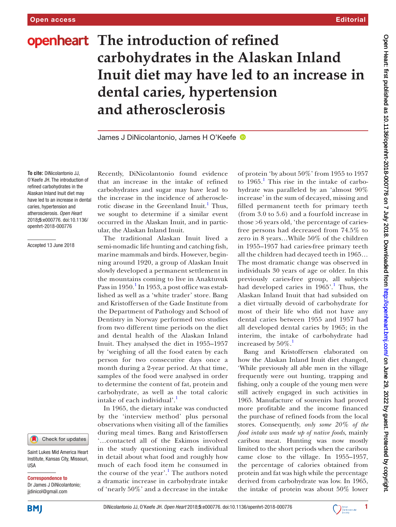# **openheart** The introduction of refined **carbohydrates in the Alaskan Inland Inuit diet may have led to an increase in dental caries, hypertension and atherosclerosis**

James J DiNicolantonio, James H O'Keefe

**To cite:** DiNicolantonio JJ, O'Keefe JH. The introduction of refined carbohydrates in the Alaskan Inland Inuit diet may have led to an increase in dental caries, hypertension and atherosclerosis*. Open Heart* 2018;5:e000776. doi:10.1136/ openhrt-2018-000776

Accepted 13 June 2018



Saint Lukes Mid America Heart Institute, Kansas City, Missouri, **IISA** 

Correspondence to

Dr James J DiNicolantonio; jjdinicol@gmail.com

Recently, DiNicolantonio found evidence that an increase in the intake of refined carbohydrates and sugar may have lead to the increase in the incidence of atheroscle-rotic disease in the Greenland Inuit.<sup>[1](#page-2-0)</sup> Thus, we sought to determine if a similar event occurred in the Alaskan Inuit, and in particular, the Alaskan Inland Inuit.

The traditional Alaskan Inuit lived a semi-nomadic life hunting and catching fish, marine mammals and birds. However, beginning around 1920, a group of Alaskan Inuit slowly developed a permanent settlement in the mountains coming to live in Anaktuvuk Pass in [1](#page-2-0)950.<sup>1</sup> In 1953, a post office was established as well as a 'white trader' store. Bang and Kristoffersen of the Gade Institute from the Department of Pathology and School of Dentistry in Norway performed two studies from two different time periods on the diet and dental health of the Alaskan Inland Inuit. They analysed the diet in 1955–1957 by 'weighing of all the food eaten by each person for two consecutive days once a month during a 2-year period. At that time, samples of the food were analysed in order to determine the content of fat, protein and carbohydrate, as well as the total caloric intake of each individual'.<sup>[1](#page-2-0)</sup>

In 1965, the dietary intake was conducted by the 'interview method' plus personal observations when visiting all of the families during meal times. Bang and Kristoffersen '…contacted all of the Eskimos involved in the study questioning each individual in detail about what food and roughly how much of each food item he consumed in the course of the year'.<sup>[1](#page-2-0)</sup> The authors noted a dramatic increase in carbohydrate intake of 'nearly 50%' and a decrease in the intake

of protein 'by about 50%' from 1955 to 1957 to  $1965$  $1965$ .<sup>1</sup> This rise in the intake of carbohydrate was paralleled by an 'almost 90% increase' in the sum of decayed, missing and filled permanent teeth for primary teeth (from 3.0 to 5.6) and a fourfold increase in those >6 years old, 'the percentage of cariesfree persons had decreased from 74.5% to zero in 8 years…While 50% of the children in 1955–1957 had caries-free primary teeth all the children had decayed teeth in 1965… The most dramatic change was observed in individuals 30 years of age or older. In this previously caries-free group, all subjects had developed caries in [1](#page-2-0)965'.<sup>1</sup> Thus, the Alaskan Inland Inuit that had subsided on a diet virtually devoid of carbohydrate for most of their life who did not have any dental caries between 1955 and 1957 had all developed dental caries by 1965; in the interim, the intake of carbohydrate had increased by  $50\%$ .

Bang and Kristoffersen elaborated on how the Alaskan Inland Inuit diet changed, 'While previously all able men in the village frequently were out hunting, trapping and fishing, only a couple of the young men were still actively engaged in such activities in 1965. Manufacture of souvenirs had proved more profitable and the income financed the purchase of refined foods from the local stores. Consequently, *only some 20% of the food intake was made up of native foods*, mainly caribou meat. Hunting was now mostly limited to the short periods when the caribou came close to the village. In 1955–1957, the percentage of calories obtained from protein and fat was high while the percentage derived from carbohydrate was low. In 1965, the intake of protein was about 50% lower



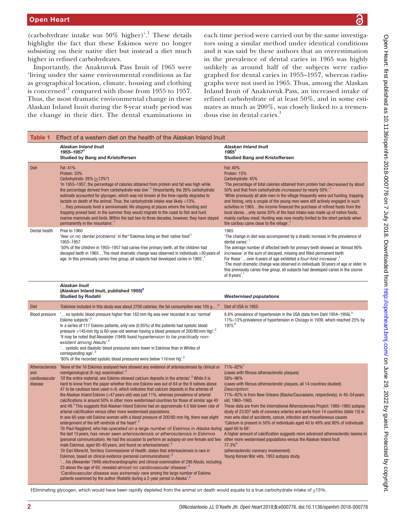(carbohydrate intake was  $50\%$  higher)'.<sup>[1](#page-2-0)</sup> These details highlight the fact that these Eskimos were no longer subsisting on their native diet but instead a diet much higher in refined carbohydrates.

Importantly, the Anaktuvuk Pass Inuit of 1965 were 'living under the same environmental conditions as far as geographical location, climate, housing and clothing is concerned<sup>'[1](#page-2-0)</sup> compared with those from 1955 to 1957. Thus, the most dramatic environmental change in these Alaskan Inland Inuit during the 8-year study period was the change in their diet. The dental examinations in

each time period were carried out by the same investigators using a similar method under identical conditions and it was said by these authors that an overestimation in the prevalence of dental caries in 1965 was highly unlikely as around half of the subjects were radiographed for dental caries in 1955–1957, whereas radiographs were not used in 1965. Thus, among the Alaskan Inland Inuit of Anaktuvuk Pass, an increased intake of refined carbohydrate of at least 50%, and in some estimates as much as 200%, was closely linked to a tremen-dous rise in dental caries.<sup>[1](#page-2-0)</sup>

<span id="page-1-0"></span>

| <b>Table 1</b>                   | Effect of a western diet on the health of the Alaskan Inland Inuit                                                                                                                                                                                                                                                                                                                                                                                                                                                                                                                                                                                                                                                                                                                                                                                                                                                                                                                                                                                                                                                                                                                                                                                                                                                                                                                                                                                                                                                                                                                                                                                                                                                                                                                                                                                                                      |                                                                                                                                                                                                                                                                                                                                                                                                                                                                                                                                                                                                                                                                                                                                                                                                       |  |
|----------------------------------|-----------------------------------------------------------------------------------------------------------------------------------------------------------------------------------------------------------------------------------------------------------------------------------------------------------------------------------------------------------------------------------------------------------------------------------------------------------------------------------------------------------------------------------------------------------------------------------------------------------------------------------------------------------------------------------------------------------------------------------------------------------------------------------------------------------------------------------------------------------------------------------------------------------------------------------------------------------------------------------------------------------------------------------------------------------------------------------------------------------------------------------------------------------------------------------------------------------------------------------------------------------------------------------------------------------------------------------------------------------------------------------------------------------------------------------------------------------------------------------------------------------------------------------------------------------------------------------------------------------------------------------------------------------------------------------------------------------------------------------------------------------------------------------------------------------------------------------------------------------------------------------------|-------------------------------------------------------------------------------------------------------------------------------------------------------------------------------------------------------------------------------------------------------------------------------------------------------------------------------------------------------------------------------------------------------------------------------------------------------------------------------------------------------------------------------------------------------------------------------------------------------------------------------------------------------------------------------------------------------------------------------------------------------------------------------------------------------|--|
|                                  | Alaskan Inland Inuit<br>1955-1957 <sup>1</sup>                                                                                                                                                                                                                                                                                                                                                                                                                                                                                                                                                                                                                                                                                                                                                                                                                                                                                                                                                                                                                                                                                                                                                                                                                                                                                                                                                                                                                                                                                                                                                                                                                                                                                                                                                                                                                                          | Alaskan Inland Inuit<br>1965 <sup>1</sup>                                                                                                                                                                                                                                                                                                                                                                                                                                                                                                                                                                                                                                                                                                                                                             |  |
|                                  | <b>Studied by Bang and Kristoffersen</b>                                                                                                                                                                                                                                                                                                                                                                                                                                                                                                                                                                                                                                                                                                                                                                                                                                                                                                                                                                                                                                                                                                                                                                                                                                                                                                                                                                                                                                                                                                                                                                                                                                                                                                                                                                                                                                                | <b>Studied Bang and Kristoffersen</b>                                                                                                                                                                                                                                                                                                                                                                                                                                                                                                                                                                                                                                                                                                                                                                 |  |
| <b>Diet</b>                      | Fat: 41%<br>Protein: 33%<br>Carbohydrate: $26\%$ ( $\leq$ 13%*)<br>'In 1955–1957, the percentage of calories obtained from protein and fat was high while<br>the percentage derived from carbohydrate was low'. <sup>1</sup> †Importantly, the 26% carbohydrate<br>estimate accounted for glycogen, which was not known at the time rapidly degrades to<br>lactate on death of the animal. Thus, the carbohydrate intake was likely <13%.<br>they previously lived a seminomadic life stopping at places where the hunting and<br>trapping proved best. In the summer they would migrate to the coast to fish and hunt<br>marine mammals and birds. Within the last two to three decades, however, they have stayed<br>permanently in the mountains'.                                                                                                                                                                                                                                                                                                                                                                                                                                                                                                                                                                                                                                                                                                                                                                                                                                                                                                                                                                                                                                                                                                                                   | Fat: 40%<br>Protein: 15%<br>Carbohydrate: 45%<br>'The percentage of total calories obtained from protein had <i>decreased</i> by about<br>50% and that from carbohydrate <i>increased</i> by nearly 50%'. <sup>1</sup><br>'While previously all able men in the village frequently were out hunting, trapping<br>and fishing, only a couple of the young men were still actively engaged in such<br>activities in 1965the income financed the purchase of refined foods from the<br>local storesonly some 20% of the food intake was made up of native foods,<br>mainly caribou meat. Hunting was now mostly limited to the short periods when<br>the caribou came close to the village'.                                                                                                             |  |
| Dental health                    | Prior to 1960<br>"few or no dental problems' in the "Eskimos living on their native food"<br>1955-1957<br>'50% of the children in 1955–1957 had caries-free primary teeth, all the children had<br>decayed teeth in 1965The most dramatic change was observed in individuals ≥30 years of<br>age. In this previously caries-free group, all subjects had developed caries in 1965'.                                                                                                                                                                                                                                                                                                                                                                                                                                                                                                                                                                                                                                                                                                                                                                                                                                                                                                                                                                                                                                                                                                                                                                                                                                                                                                                                                                                                                                                                                                     | 1965<br>'The change in diet was accompanied by a drastic increase in the prevalence of<br>dental caries'.<br>The average number of affected teeth for primary teeth showed an 'Almost 90%<br><i>increase</i> ' in the sum of decayed, missing and filled permanent teeth<br>For those ' over 6 years of age exhibited a four-fold increase'.<br>'The most dramatic change was observed in individuals 30 years of age or older. In<br>this previously caries-free group, all subjects had developed caries in the course<br>of 8 years'. <sup>1</sup>                                                                                                                                                                                                                                                 |  |
|                                  | Alaskan Inuit<br>(Alaskan Inland Inuit, published 1955) <sup>2</sup><br><b>Studied by Rodahl</b>                                                                                                                                                                                                                                                                                                                                                                                                                                                                                                                                                                                                                                                                                                                                                                                                                                                                                                                                                                                                                                                                                                                                                                                                                                                                                                                                                                                                                                                                                                                                                                                                                                                                                                                                                                                        | <b>Westernised populations</b>                                                                                                                                                                                                                                                                                                                                                                                                                                                                                                                                                                                                                                                                                                                                                                        |  |
| <b>Diet</b>                      | 'Eskimos included in this study was about 2700 calories; the fat consumption was 105 g <sup>12</sup>                                                                                                                                                                                                                                                                                                                                                                                                                                                                                                                                                                                                                                                                                                                                                                                                                                                                                                                                                                                                                                                                                                                                                                                                                                                                                                                                                                                                                                                                                                                                                                                                                                                                                                                                                                                    | Diet of USA in 1955                                                                                                                                                                                                                                                                                                                                                                                                                                                                                                                                                                                                                                                                                                                                                                                   |  |
| <b>Blood pressure</b>            | 'no systolic blood pressure higher than 162 mm Hg was ever recorded in our 'normal'<br>Eskimo subjects' <sup>2</sup><br>In a series of 117 Eskimo patients, only one (0.85%) of the patients had systolic blood<br>pressure >145 mm Hg (a 60-year-old woman having a blood pressure of 200/80 mm Hg)'. <sup>2</sup><br>'It may be noted that Alexander (1949) found hypertension to be practically non-<br>existent among Aleuts'. <sup>2</sup><br>'systolic and diastolic blood pressures were lower in Eskimos than in Whites of<br>corresponding age'. <sup>2</sup><br>'80% of the recorded systolic blood pressures were below 116 mm Hg'. <sup>2</sup>                                                                                                                                                                                                                                                                                                                                                                                                                                                                                                                                                                                                                                                                                                                                                                                                                                                                                                                                                                                                                                                                                                                                                                                                                             | 8.6% prevalence of hypertension in the USA (data from Dahl 1954–1956).<br>11%-13% prevalence of hypertension in Chicago in 1939, which reached 25% by<br>1975. <sup>6</sup>                                                                                                                                                                                                                                                                                                                                                                                                                                                                                                                                                                                                                           |  |
| Atherosclerosis                  | 'None of the 16 Eskimos analysed here showed any evidence of arteriosclerosis by clinical or                                                                                                                                                                                                                                                                                                                                                                                                                                                                                                                                                                                                                                                                                                                                                                                                                                                                                                                                                                                                                                                                                                                                                                                                                                                                                                                                                                                                                                                                                                                                                                                                                                                                                                                                                                                            | $71\% - 82\%$                                                                                                                                                                                                                                                                                                                                                                                                                                                                                                                                                                                                                                                                                                                                                                                         |  |
| and<br>cardiovascular<br>disease | roentgenological (X-ray) examination'. <sup>2</sup><br>'Of the entire material, one Eskimo showed calcium deposits in the arteries'. <sup>2</sup> While it is<br>hard to know from the paper whether this one Eskimo was out of 84 or the 9 natives above<br>47 to be cautious have used $n=9$ , which indicates that calcium deposits in the arteries of<br>the Alaskan Inland Eskimo (>47 years old) was just 11%, whereas prevalence of arterial<br>calcifications is around 50% in other more westernised countries for those of similar age 40<br>and 49. <sup>3</sup> This suggests that Alaskan Inland Eskimo had an approximate 4.5 fold lower rate of<br>arterial calcification versus other more westernised populations.<br>In one 60-year-old Eskimo woman with a blood pressure of 200/80 mm Hg, there was slight<br>enlargement of the left ventricle of the heart'. <sup>2</sup><br>'Dr Paul Haggland, who has operated on a large number of Eskimos in Alaska during aged 60 to 69'.<br>the last 15 years, has never seen arteriosclerosis or atherosclerosis in Eskimos<br>(personal communication). He had the occasion to perform an autopsy on one female and two other more westernised populations versus the Alaskan Inland Inuit<br>male Eskimos, aged 60–65 years, and found no arteriosclerosis'. <sup>2</sup><br>'Dr Earl Albrecht, Territory Commissioner of Health, states that arteriosclerosis is rare in<br>Eskimos, based on clinical evidence (personal communications)'. <sup>2</sup><br>'his (Alexander 1949) electrocardiographic and clinical examination of 296 Aleuts, including<br>23 above the age of 60, revealed almost no cardiovascular disease'. <sup>2</sup><br>'Cardiovascular disease was extremely rare among the large number of Eskimo<br>patients examined by the author (Rodahl) during a 2-year period in Alaska'. <sup>2</sup> | (cases with fibrous atherosclerotic plaques)<br>58%-96%<br>(cases with fibrous atherosclerotic plaques, all 14 countries studied).<br>Description:<br>71%-82% is from New Orleans (Blacks/Caucasians, respectively), in 45-54 years<br>old, 1960-1965.<br>These data are from the International Atherosclerosis Project: 1960–1965 autopsy<br>study of 23 207 sets of coronary arteries and aorta from 14 countries (table 10) in<br>men who died of accidents, cancer, infection and miscellaneous causes<br>'Calcium is present in 50% of individuals aged 40 to 49% and 80% of individuals<br>A higher amount of calcification suggests more advanced atherosclerotic lesions in<br>$77.3\%$ <sup>8</sup><br>(atherosclerotic coronary involvement).<br>Young Korean War vets, 1953 autopsy study. |  |

෬

†Eliminating glycogen, which would have been rapidly depleted from the animal on death would equate to a true carbohydrate intake of <13%.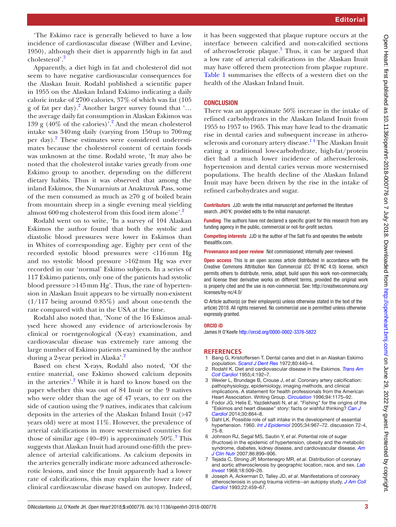'The Eskimo race is generally believed to have a low incidence of cardiovascular disease (Wilber and Levine, 1950), although their diet is apparently high in fat and cholesterol'.<sup>[2](#page-2-1)</sup>

Apparently, a diet high in fat and cholesterol did not seem to have negative cardiovascular consequences for the Alaskan Inuit. Rodahl published a scientific paper in 1955 on the Alaskan Inland Eskimo indicating a daily caloric intake of 2700 calories, 37% of which was fat (105 g of fat per day).<sup>[2](#page-2-1)</sup> Another larger survey found that '... the average daily fat consumption in Alaskan Eskimos was 139 g (40% of the calories)'.[2](#page-2-1) And the mean cholesterol intake was 340mg daily (varying from 150up to 700mg per day).<sup>[2](#page-2-1)</sup> These estimates were considered underestimates because the cholesterol content of certain foods was unknown at the time. Rodahl wrote, 'It may also be noted that the cholesterol intake varies greatly from one Eskimo group to another, depending on the different dietary habits. Thus it was observed that among the inland Eskimos, the Nunarniuts at Anaktuvuk Pass, some of the men consumed as much as  $\geq 70$  g of boiled brain from mountain sheep in a single evening meal yielding almost 600 mg cholesterol from this food item alone'.<sup>[2](#page-2-1)</sup>

Rodahl went on to write, 'In a survey of 104 Alaskan Eskimos the author found that both the systolic and diastolic blood pressures were lower in Eskimos than in Whites of corresponding age. Eighty per cent of the recorded systolic blood pressures were <116mm Hg and no systolic blood pressure >162mm Hg was ever recorded in our 'normal' Eskimo subjects. In a series of 117 Eskimo patients, only one of the patients had systolic blood pressure >145mm Hg'. Thus, the rate of hypertension in Alaskan Inuit appears to be virtually non-existent  $(1/117)$  being around 0.85%) and about one-tenth the rate compared with that in the USA at the time.

Rodahl also noted that, 'None of the 16 Eskimos analysed here showed any evidence of arteriosclerosis by clinical or roentgenological (X-ray) examination, and cardiovascular disease was extremely rare among the large number of Eskimo patients examined by the author during a [2](#page-2-1)-year period in Alaska'.<sup>2</sup>

Based on chest X-rays, Rodahl also noted, 'Of the entire material, one Eskimo showed calcium deposits in the arteries'.<sup>2</sup> While it is hard to know based on the paper whether this was out of 84 Inuit or the 9 natives who were older than the age of 47 years, to err on the side of caution using the 9 natives, indicates that calcium deposits in the arteries of the Alaskan Inland Inuit (>47 years old) were at most 11%. However, the prevalence of arterial calcifications in more westernised countries for those of similar age  $(40-49)$  is approximately  $50\%$ .<sup>[3](#page-2-4)</sup> This suggests that Alaskan Inuit had around one-fifth the prevalence of arterial calcifications. As calcium deposits in the arteries generally indicate more advanced atherosclerotic lesions, and since the Inuit apparently had a lower rate of calcifications, this may explain the lower rate of clinical cardiovascular disease based on autopsy. Indeed,

it has been suggested that plaque rupture occurs at the interface between calcified and non-calcified sections of atherosclerotic plaque.<sup>3</sup> Thus, it can be argued that a low rate of arterial calcifications in the Alaskan Inuit may have offered them protection from plaque rupture. [Table](#page-1-0) 1 summarises the effects of a western diet on the health of the Alaskan Inland Inuit.

## **CONCLUSION**

There was an approximate 50% increase in the intake of refined carbohydrates in the Alaskan Inland Inuit from 1955 to 1957 to 1965. This may have lead to the dramatic rise in dental caries and subsequent increase in atherosclerosis and coronary artery disease.<sup>14</sup> The Alaskan Inuit eating a traditional low-carbohydrate, high-fat/protein diet had a much lower incidence of atherosclerosis, hypertension and dental caries versus more westernised populations. The health decline of the Alaskan Inland Inuit may have been driven by the rise in the intake of refined carbohydrates and sugar.

Contributors JJD: wrote the initial manuscript and performed the literature search. JHO'K: provided edits to the initial manuscript.

Funding The authors have not declared a specific grant for this research from any funding agency in the public, commercial or not-for-profit sectors.

Competing interests JJD is the author of The Salt Fix and operates the website thesaltfix.com.

Provenance and peer review Not commissioned; internally peer reviewed.

**Open access** This is an open access article distributed in accordance with the Creative Commons Attribution Non Commercial (CC BY-NC 4.0) license, which permits others to distribute, remix, adapt, build upon this work non-commercially, and license their derivative works on different terms, provided the original work is properly cited and the use is non-commercial. See: [http://creativecommons.org/](http://creativecommons.org/licenses/by-nc/4.0/) [licenses/by-nc/4.0/](http://creativecommons.org/licenses/by-nc/4.0/)

© Article author(s) (or their employer(s) unless otherwise stated in the text of the article) 2018. All rights reserved. No commercial use is permitted unless otherwise expressly granted.

#### ORCID iD

James H O'Keefe <http://orcid.org/0000-0002-3376-5822>

### **References**

- <span id="page-2-0"></span>1 Bang G, Kristoffersen T. Dental caries and diet in an Alaskan Eskimo population. *[Scand J Dent Res](http://dx.doi.org/10.1111/j.1600-0722.1972.tb00310.x)* 1972;80:440–4.
- <span id="page-2-1"></span>2 Rodahl K. Diet and cardiovascular disease in the Eskimos. *[Trans Am](http://www.ncbi.nlm.nih.gov/pubmed/14373771)  [Coll Cardiol](http://www.ncbi.nlm.nih.gov/pubmed/14373771)* 1955;4:192–7.
- <span id="page-2-4"></span>3 Wexler L, Brundage B, Crouse J, *et al*. Coronary artery calcification: pathophysiology, epidemiology, imaging methods, and clinical implications. A statement for health professionals from the American Heart Association. Writing Group. *[Circulation](http://dx.doi.org/10.1161/01.CIR.94.5.1175)* 1996;94:1175–92.
- 4 Fodor JG, Helis E, Yazdekhasti N, *et al*. "Fishing" for the origins of the "Eskimos and heart disease" story: facts or wishful thinking? *[Can J](http://dx.doi.org/10.1016/j.cjca.2014.04.007)  [Cardiol](http://dx.doi.org/10.1016/j.cjca.2014.04.007)* 2014;30:864–8.
- <span id="page-2-2"></span>5 Dahl LK. Possible role of salt intake in the development of essential hypertension. 1960. *[Int J Epidemiol](http://dx.doi.org/10.1093/ije/dyh317)* 2005;34:967–72. discussion 72-4, 75-8.
- <span id="page-2-3"></span>6 Johnson RJ, Segal MS, Sautin Y, *et al*. Potential role of sugar (fructose) in the epidemic of hypertension, obesity and the metabolic syndrome, diabetes, kidney disease, and cardiovascular disease. *[Am](http://dx.doi.org/10.1093/ajcn/86.4.899)  [J Clin Nutr](http://dx.doi.org/10.1093/ajcn/86.4.899)* 2007;86:899–906.
- <span id="page-2-5"></span>7 Tejada C, Strong JP, Montenegro MR, *et al*. Distribution of coronary and aortic atherosclerosis by geographic location, race, and sex. *[Lab](http://www.ncbi.nlm.nih.gov/pubmed/5681195)  [Invest](http://www.ncbi.nlm.nih.gov/pubmed/5681195)* 1968;18:509–26.
- <span id="page-2-6"></span>8 Joseph A, Ackerman D, Talley JD, *et al*. Manifestations of coronary atherosclerosis in young trauma victims--an autopsy study. *[J Am Coll](http://dx.doi.org/10.1016/0735-1097(93)90050-B)  [Cardiol](http://dx.doi.org/10.1016/0735-1097(93)90050-B)* 1993;22:459–67.